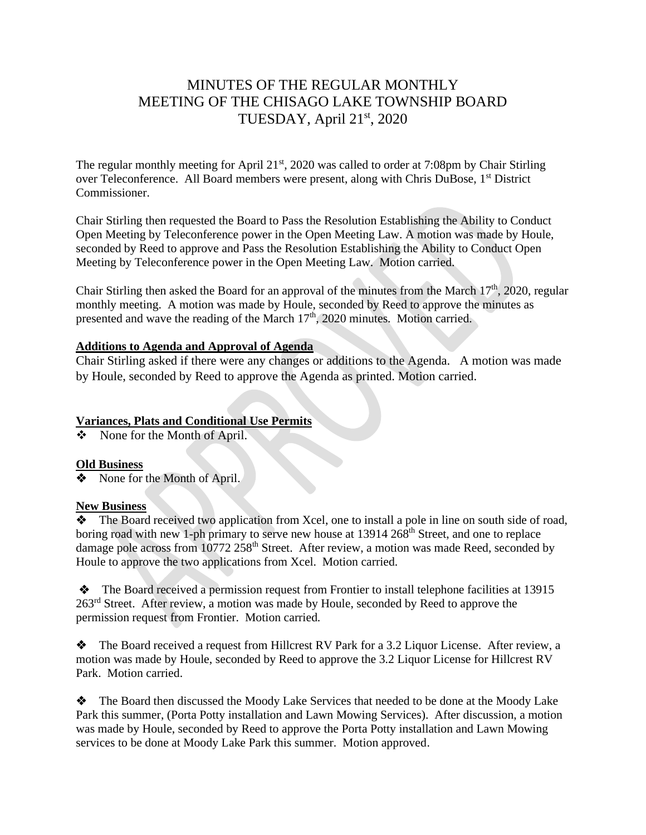# MINUTES OF THE REGULAR MONTHLY MEETING OF THE CHISAGO LAKE TOWNSHIP BOARD TUESDAY, April 21st, 2020

The regular monthly meeting for April  $21<sup>st</sup>$ , 2020 was called to order at 7:08pm by Chair Stirling over Teleconference. All Board members were present, along with Chris DuBose, 1<sup>st</sup> District Commissioner.

Chair Stirling then requested the Board to Pass the Resolution Establishing the Ability to Conduct Open Meeting by Teleconference power in the Open Meeting Law. A motion was made by Houle, seconded by Reed to approve and Pass the Resolution Establishing the Ability to Conduct Open Meeting by Teleconference power in the Open Meeting Law. Motion carried.

Chair Stirling then asked the Board for an approval of the minutes from the March  $17<sup>th</sup>$ , 2020, regular monthly meeting. A motion was made by Houle, seconded by Reed to approve the minutes as presented and wave the reading of the March  $17<sup>th</sup>$ , 2020 minutes. Motion carried.

### **Additions to Agenda and Approval of Agenda**

Chair Stirling asked if there were any changes or additions to the Agenda. A motion was made by Houle, seconded by Reed to approve the Agenda as printed. Motion carried.

## **Variances, Plats and Conditional Use Permits**

❖ None for the Month of April.

## **Old Business**

❖None for the Month of April.

#### **New Business**

The Board received two application from Xcel, one to install a pole in line on south side of road, boring road with new 1-ph primary to serve new house at  $13914\,268$ <sup>th</sup> Street, and one to replace damage pole across from  $10772$   $258$ <sup>th</sup> Street. After review, a motion was made Reed, seconded by Houle to approve the two applications from Xcel. Motion carried.

❖ The Board received a permission request from Frontier to install telephone facilities at 13915 263<sup>rd</sup> Street. After review, a motion was made by Houle, seconded by Reed to approve the permission request from Frontier. Motion carried.

❖ The Board received a request from Hillcrest RV Park for a 3.2 Liquor License. After review, a motion was made by Houle, seconded by Reed to approve the 3.2 Liquor License for Hillcrest RV Park. Motion carried.

❖ The Board then discussed the Moody Lake Services that needed to be done at the Moody Lake Park this summer, (Porta Potty installation and Lawn Mowing Services). After discussion, a motion was made by Houle, seconded by Reed to approve the Porta Potty installation and Lawn Mowing services to be done at Moody Lake Park this summer. Motion approved.